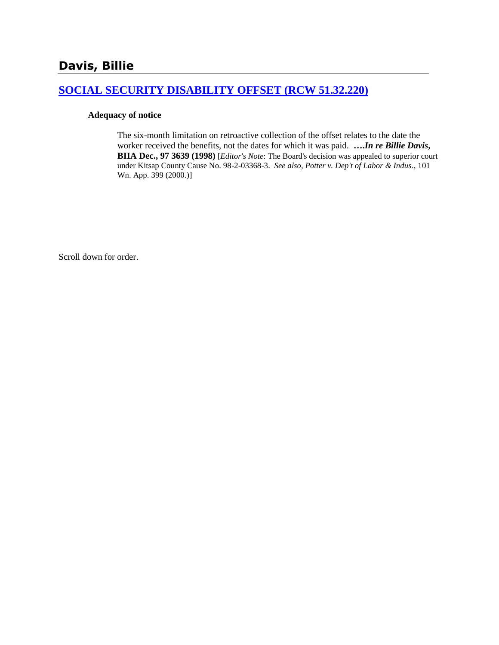## **[SOCIAL SECURITY DISABILITY OFFSET \(RCW 51.32.220\)](http://www.biia.wa.gov/SDSubjectIndex.html#SOCIAL_SECURITY_DISABILITY_OFFSET)**

#### **Adequacy of notice**

The six-month limitation on retroactive collection of the offset relates to the date the worker received the benefits, not the dates for which it was paid. **….***In re Billie Davis***, BIIA Dec., 97 3639 (1998)** [*Editor's Note*: The Board's decision was appealed to superior court under Kitsap County Cause No. 98-2-03368-3. *See also, Potter v. Dep't of Labor & Indus*., 101 Wn. App. 399 (2000.)]

Scroll down for order.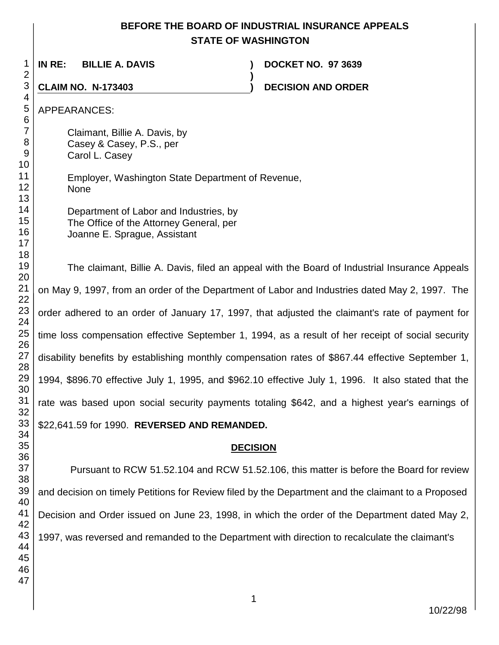## **BEFORE THE BOARD OF INDUSTRIAL INSURANCE APPEALS STATE OF WASHINGTON**

**)**

 **IN RE: BILLIE A. DAVIS ) DOCKET NO. 97 3639**

**CLAIM NO. N-173403 ) DECISION AND ORDER** 

APPEARANCES:

Claimant, Billie A. Davis, by Casey & Casey, P.S., per

Carol L. Casey

Employer, Washington State Department of Revenue, None

Department of Labor and Industries, by The Office of the Attorney General, per Joanne E. Sprague, Assistant

The claimant, Billie A. Davis, filed an appeal with the Board of Industrial Insurance Appeals on May 9, 1997, from an order of the Department of Labor and Industries dated May 2, 1997. The order adhered to an order of January 17, 1997, that adjusted the claimant's rate of payment for time loss compensation effective September 1, 1994, as a result of her receipt of social security disability benefits by establishing monthly compensation rates of \$867.44 effective September 1, 1994, \$896.70 effective July 1, 1995, and \$962.10 effective July 1, 1996. It also stated that the rate was based upon social security payments totaling \$642, and a highest year's earnings of \$22,641.59 for 1990. **REVERSED AND REMANDED.**

### **DECISION**

Pursuant to RCW 51.52.104 and RCW 51.52.106, this matter is before the Board for review and decision on timely Petitions for Review filed by the Department and the claimant to a Proposed Decision and Order issued on June 23, 1998, in which the order of the Department dated May 2, 1997, was reversed and remanded to the Department with direction to recalculate the claimant's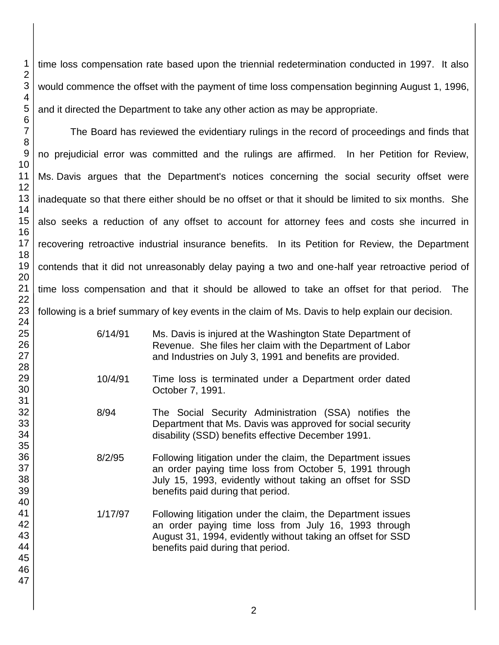time loss compensation rate based upon the triennial redetermination conducted in 1997. It also would commence the offset with the payment of time loss compensation beginning August 1, 1996, and it directed the Department to take any other action as may be appropriate.

The Board has reviewed the evidentiary rulings in the record of proceedings and finds that no prejudicial error was committed and the rulings are affirmed. In her Petition for Review, Ms. Davis argues that the Department's notices concerning the social security offset were inadequate so that there either should be no offset or that it should be limited to six months. She also seeks a reduction of any offset to account for attorney fees and costs she incurred in recovering retroactive industrial insurance benefits. In its Petition for Review, the Department contends that it did not unreasonably delay paying a two and one-half year retroactive period of time loss compensation and that it should be allowed to take an offset for that period. The following is a brief summary of key events in the claim of Ms. Davis to help explain our decision.

- 6/14/91 Ms. Davis is injured at the Washington State Department of Revenue. She files her claim with the Department of Labor and Industries on July 3, 1991 and benefits are provided.
- 10/4/91 Time loss is terminated under a Department order dated October 7, 1991.
- 8/94 The Social Security Administration (SSA) notifies the Department that Ms. Davis was approved for social security disability (SSD) benefits effective December 1991.
- 8/2/95 Following litigation under the claim, the Department issues an order paying time loss from October 5, 1991 through July 15, 1993, evidently without taking an offset for SSD benefits paid during that period.
	- 1/17/97 Following litigation under the claim, the Department issues an order paying time loss from July 16, 1993 through August 31, 1994, evidently without taking an offset for SSD benefits paid during that period.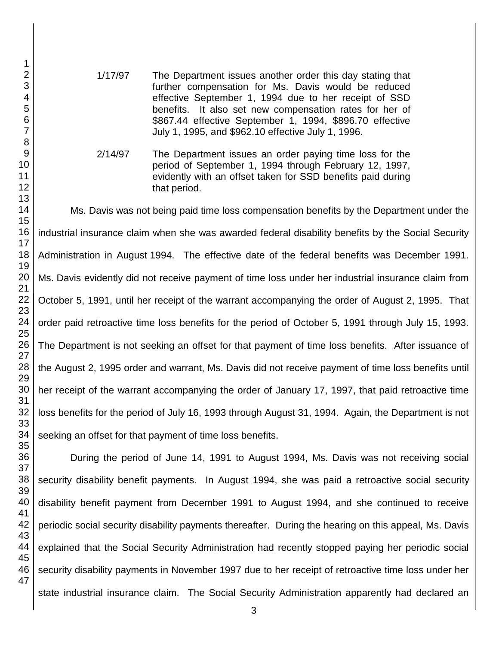- 1/17/97 The Department issues another order this day stating that further compensation for Ms. Davis would be reduced effective September 1, 1994 due to her receipt of SSD benefits. It also set new compensation rates for her of \$867.44 effective September 1, 1994, \$896.70 effective July 1, 1995, and \$962.10 effective July 1, 1996.
- 2/14/97 The Department issues an order paying time loss for the period of September 1, 1994 through February 12, 1997, evidently with an offset taken for SSD benefits paid during that period.

Ms. Davis was not being paid time loss compensation benefits by the Department under the industrial insurance claim when she was awarded federal disability benefits by the Social Security Administration in August 1994. The effective date of the federal benefits was December 1991. Ms. Davis evidently did not receive payment of time loss under her industrial insurance claim from October 5, 1991, until her receipt of the warrant accompanying the order of August 2, 1995. That order paid retroactive time loss benefits for the period of October 5, 1991 through July 15, 1993. The Department is not seeking an offset for that payment of time loss benefits. After issuance of the August 2, 1995 order and warrant, Ms. Davis did not receive payment of time loss benefits until her receipt of the warrant accompanying the order of January 17, 1997, that paid retroactive time loss benefits for the period of July 16, 1993 through August 31, 1994. Again, the Department is not seeking an offset for that payment of time loss benefits.

During the period of June 14, 1991 to August 1994, Ms. Davis was not receiving social security disability benefit payments. In August 1994, she was paid a retroactive social security disability benefit payment from December 1991 to August 1994, and she continued to receive periodic social security disability payments thereafter. During the hearing on this appeal, Ms. Davis explained that the Social Security Administration had recently stopped paying her periodic social security disability payments in November 1997 due to her receipt of retroactive time loss under her state industrial insurance claim. The Social Security Administration apparently had declared an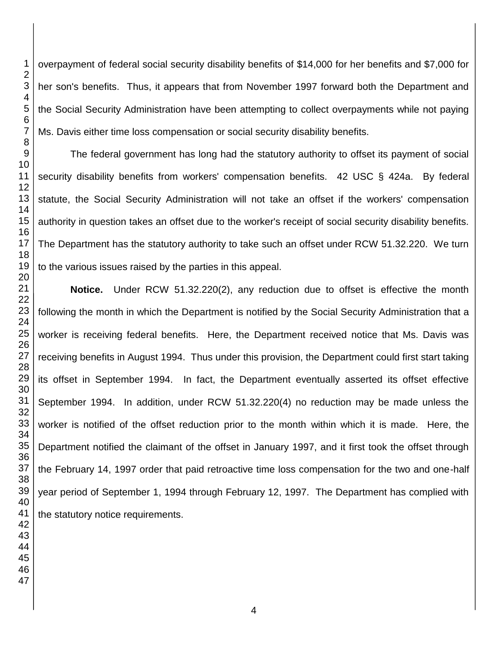overpayment of federal social security disability benefits of \$14,000 for her benefits and \$7,000 for her son's benefits. Thus, it appears that from November 1997 forward both the Department and the Social Security Administration have been attempting to collect overpayments while not paying Ms. Davis either time loss compensation or social security disability benefits.

The federal government has long had the statutory authority to offset its payment of social security disability benefits from workers' compensation benefits. 42 USC § 424a. By federal statute, the Social Security Administration will not take an offset if the workers' compensation authority in question takes an offset due to the worker's receipt of social security disability benefits. The Department has the statutory authority to take such an offset under RCW 51.32.220. We turn to the various issues raised by the parties in this appeal.

**Notice.** Under RCW 51.32.220(2), any reduction due to offset is effective the month following the month in which the Department is notified by the Social Security Administration that a worker is receiving federal benefits. Here, the Department received notice that Ms. Davis was receiving benefits in August 1994. Thus under this provision, the Department could first start taking its offset in September 1994. In fact, the Department eventually asserted its offset effective September 1994. In addition, under RCW 51.32.220(4) no reduction may be made unless the worker is notified of the offset reduction prior to the month within which it is made. Here, the Department notified the claimant of the offset in January 1997, and it first took the offset through the February 14, 1997 order that paid retroactive time loss compensation for the two and one-half year period of September 1, 1994 through February 12, 1997. The Department has complied with the statutory notice requirements.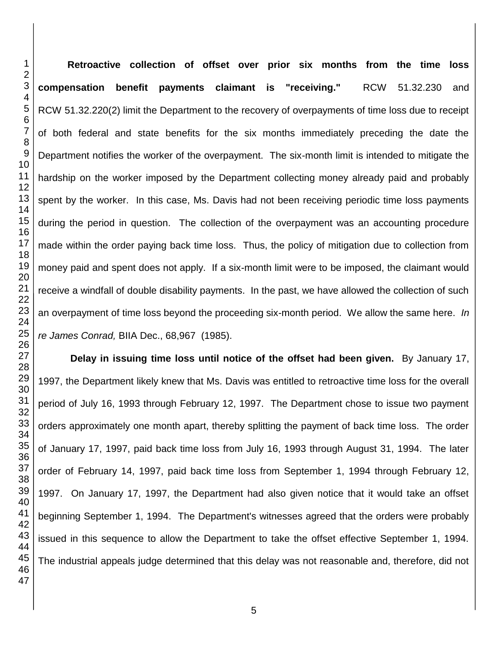**Retroactive collection of offset over prior six months from the time loss compensation benefit payments claimant is "receiving."** RCW 51.32.230 and RCW 51.32.220(2) limit the Department to the recovery of overpayments of time loss due to receipt of both federal and state benefits for the six months immediately preceding the date the Department notifies the worker of the overpayment. The six-month limit is intended to mitigate the hardship on the worker imposed by the Department collecting money already paid and probably spent by the worker. In this case, Ms. Davis had not been receiving periodic time loss payments during the period in question. The collection of the overpayment was an accounting procedure made within the order paying back time loss. Thus, the policy of mitigation due to collection from money paid and spent does not apply. If a six-month limit were to be imposed, the claimant would receive a windfall of double disability payments. In the past, we have allowed the collection of such an overpayment of time loss beyond the proceeding six-month period. We allow the same here. *In re James Conrad,* BIIA Dec., 68,967 (1985).

**Delay in issuing time loss until notice of the offset had been given.** By January 17, 1997, the Department likely knew that Ms. Davis was entitled to retroactive time loss for the overall period of July 16, 1993 through February 12, 1997. The Department chose to issue two payment orders approximately one month apart, thereby splitting the payment of back time loss. The order of January 17, 1997, paid back time loss from July 16, 1993 through August 31, 1994. The later order of February 14, 1997, paid back time loss from September 1, 1994 through February 12, 1997. On January 17, 1997, the Department had also given notice that it would take an offset beginning September 1, 1994. The Department's witnesses agreed that the orders were probably issued in this sequence to allow the Department to take the offset effective September 1, 1994. The industrial appeals judge determined that this delay was not reasonable and, therefore, did not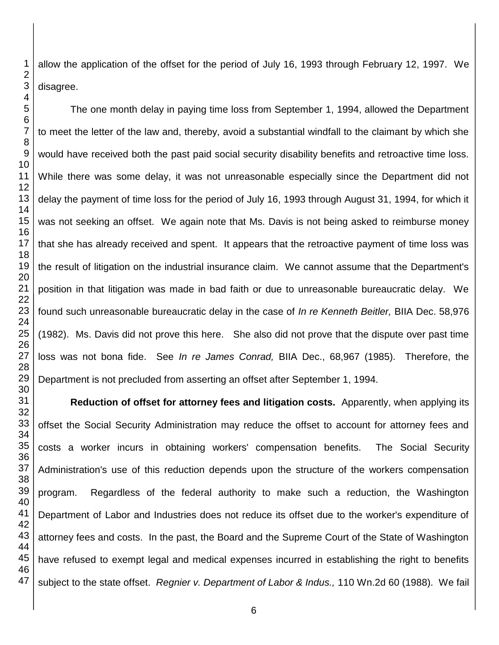allow the application of the offset for the period of July 16, 1993 through February 12, 1997. We disagree.

The one month delay in paying time loss from September 1, 1994, allowed the Department to meet the letter of the law and, thereby, avoid a substantial windfall to the claimant by which she would have received both the past paid social security disability benefits and retroactive time loss. While there was some delay, it was not unreasonable especially since the Department did not delay the payment of time loss for the period of July 16, 1993 through August 31, 1994, for which it was not seeking an offset. We again note that Ms. Davis is not being asked to reimburse money that she has already received and spent. It appears that the retroactive payment of time loss was the result of litigation on the industrial insurance claim. We cannot assume that the Department's position in that litigation was made in bad faith or due to unreasonable bureaucratic delay. We found such unreasonable bureaucratic delay in the case of *In re Kenneth Beitler,* BIIA Dec. 58,976 (1982). Ms. Davis did not prove this here. She also did not prove that the dispute over past time loss was not bona fide. See *In re James Conrad,* BIIA Dec., 68,967 (1985). Therefore, the Department is not precluded from asserting an offset after September 1, 1994.

**Reduction of offset for attorney fees and litigation costs.** Apparently, when applying its offset the Social Security Administration may reduce the offset to account for attorney fees and costs a worker incurs in obtaining workers' compensation benefits. The Social Security Administration's use of this reduction depends upon the structure of the workers compensation program. Regardless of the federal authority to make such a reduction, the Washington Department of Labor and Industries does not reduce its offset due to the worker's expenditure of attorney fees and costs. In the past, the Board and the Supreme Court of the State of Washington have refused to exempt legal and medical expenses incurred in establishing the right to benefits subject to the state offset. *Regnier v. Department of Labor & Indus.,* 110 Wn.2d 60 (1988). We fail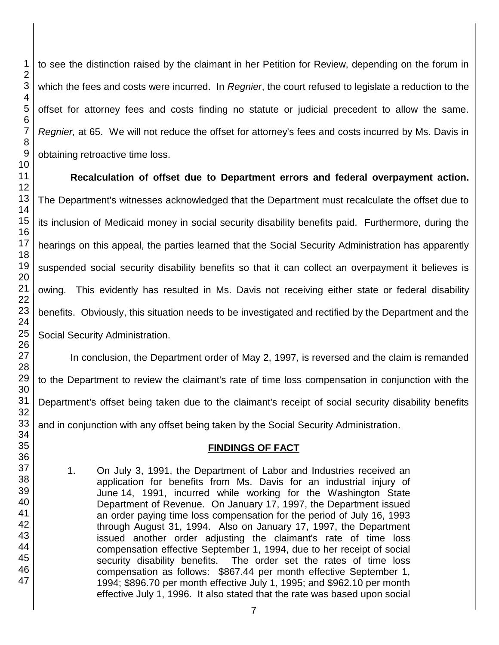to see the distinction raised by the claimant in her Petition for Review, depending on the forum in which the fees and costs were incurred. In *Regnier*, the court refused to legislate a reduction to the offset for attorney fees and costs finding no statute or judicial precedent to allow the same. *Regnier,* at 65. We will not reduce the offset for attorney's fees and costs incurred by Ms. Davis in obtaining retroactive time loss.

**Recalculation of offset due to Department errors and federal overpayment action.** The Department's witnesses acknowledged that the Department must recalculate the offset due to its inclusion of Medicaid money in social security disability benefits paid. Furthermore, during the hearings on this appeal, the parties learned that the Social Security Administration has apparently suspended social security disability benefits so that it can collect an overpayment it believes is owing. This evidently has resulted in Ms. Davis not receiving either state or federal disability benefits. Obviously, this situation needs to be investigated and rectified by the Department and the Social Security Administration.

In conclusion, the Department order of May 2, 1997, is reversed and the claim is remanded to the Department to review the claimant's rate of time loss compensation in conjunction with the Department's offset being taken due to the claimant's receipt of social security disability benefits and in conjunction with any offset being taken by the Social Security Administration.

# **FINDINGS OF FACT**

1. On July 3, 1991, the Department of Labor and Industries received an application for benefits from Ms. Davis for an industrial injury of June 14, 1991, incurred while working for the Washington State Department of Revenue. On January 17, 1997, the Department issued an order paying time loss compensation for the period of July 16, 1993 through August 31, 1994. Also on January 17, 1997, the Department issued another order adjusting the claimant's rate of time loss compensation effective September 1, 1994, due to her receipt of social security disability benefits. The order set the rates of time loss compensation as follows: \$867.44 per month effective September 1, 1994; \$896.70 per month effective July 1, 1995; and \$962.10 per month effective July 1, 1996. It also stated that the rate was based upon social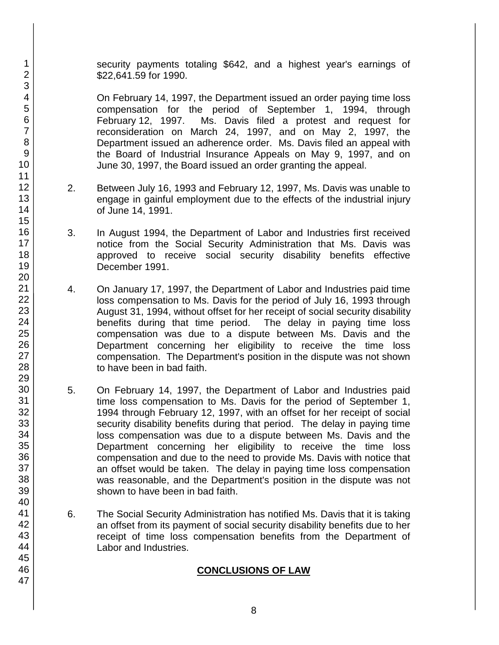security payments totaling \$642, and a highest year's earnings of \$22,641.59 for 1990.

On February 14, 1997, the Department issued an order paying time loss compensation for the period of September 1, 1994, through February 12, 1997. Ms. Davis filed a protest and request for Ms. Davis filed a protest and request for reconsideration on March 24, 1997, and on May 2, 1997, the Department issued an adherence order. Ms. Davis filed an appeal with the Board of Industrial Insurance Appeals on May 9, 1997, and on June 30, 1997, the Board issued an order granting the appeal.

- 2. Between July 16, 1993 and February 12, 1997, Ms. Davis was unable to engage in gainful employment due to the effects of the industrial injury of June 14, 1991.
- 3. In August 1994, the Department of Labor and Industries first received notice from the Social Security Administration that Ms. Davis was approved to receive social security disability benefits effective December 1991.
- 4. On January 17, 1997, the Department of Labor and Industries paid time loss compensation to Ms. Davis for the period of July 16, 1993 through August 31, 1994, without offset for her receipt of social security disability benefits during that time period. The delay in paying time loss compensation was due to a dispute between Ms. Davis and the Department concerning her eligibility to receive the time loss compensation. The Department's position in the dispute was not shown to have been in bad faith.
- 5. On February 14, 1997, the Department of Labor and Industries paid time loss compensation to Ms. Davis for the period of September 1, 1994 through February 12, 1997, with an offset for her receipt of social security disability benefits during that period. The delay in paying time loss compensation was due to a dispute between Ms. Davis and the Department concerning her eligibility to receive the time loss compensation and due to the need to provide Ms. Davis with notice that an offset would be taken. The delay in paying time loss compensation was reasonable, and the Department's position in the dispute was not shown to have been in bad faith.
- 6. The Social Security Administration has notified Ms. Davis that it is taking an offset from its payment of social security disability benefits due to her receipt of time loss compensation benefits from the Department of Labor and Industries.

## **CONCLUSIONS OF LAW**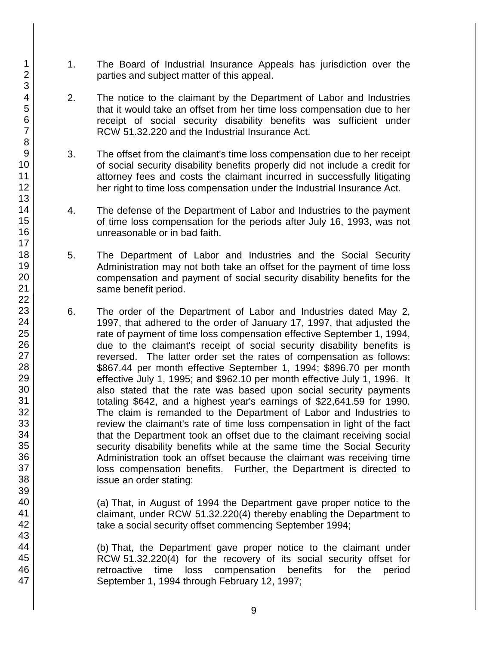- 1. The Board of Industrial Insurance Appeals has jurisdiction over the parties and subject matter of this appeal.
- 2. The notice to the claimant by the Department of Labor and Industries that it would take an offset from her time loss compensation due to her receipt of social security disability benefits was sufficient under RCW 51.32.220 and the Industrial Insurance Act.
- 3. The offset from the claimant's time loss compensation due to her receipt of social security disability benefits properly did not include a credit for attorney fees and costs the claimant incurred in successfully litigating her right to time loss compensation under the Industrial Insurance Act.
- 4. The defense of the Department of Labor and Industries to the payment of time loss compensation for the periods after July 16, 1993, was not unreasonable or in bad faith.
- 5. The Department of Labor and Industries and the Social Security Administration may not both take an offset for the payment of time loss compensation and payment of social security disability benefits for the same benefit period.
- 6. The order of the Department of Labor and Industries dated May 2, 1997, that adhered to the order of January 17, 1997, that adjusted the rate of payment of time loss compensation effective September 1, 1994, due to the claimant's receipt of social security disability benefits is reversed. The latter order set the rates of compensation as follows: \$867.44 per month effective September 1, 1994; \$896.70 per month effective July 1, 1995; and \$962.10 per month effective July 1, 1996. It also stated that the rate was based upon social security payments totaling \$642, and a highest year's earnings of \$22,641.59 for 1990. The claim is remanded to the Department of Labor and Industries to review the claimant's rate of time loss compensation in light of the fact that the Department took an offset due to the claimant receiving social security disability benefits while at the same time the Social Security Administration took an offset because the claimant was receiving time loss compensation benefits. Further, the Department is directed to issue an order stating:
	- (a) That, in August of 1994 the Department gave proper notice to the claimant, under RCW 51.32.220(4) thereby enabling the Department to take a social security offset commencing September 1994;

(b) That, the Department gave proper notice to the claimant under RCW 51.32.220(4) for the recovery of its social security offset for retroactive time loss compensation benefits for the period September 1, 1994 through February 12, 1997;